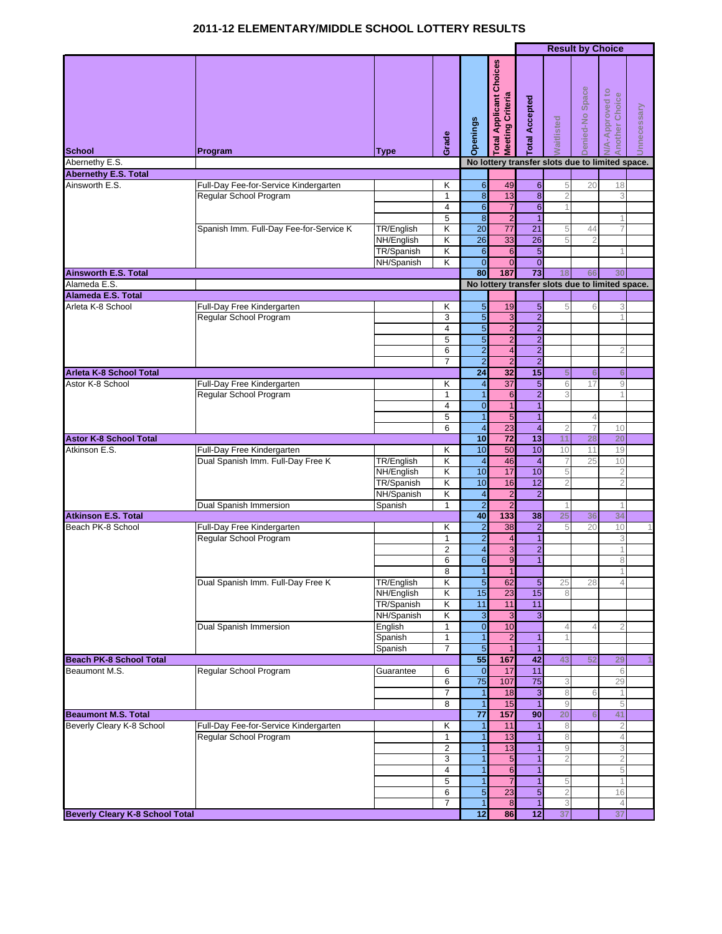## **2011-12 ELEMENTARY/MIDDLE SCHOOL LOTTERY RESULTS**

|                                             |                                                      |             |                         |                                    |                                                         |                                |                                                                                                                                                                                                                                                                                                                                                                                                                                                    | <b>Result by Choice</b> |                                                                                                                                                                                                                                           |                |
|---------------------------------------------|------------------------------------------------------|-------------|-------------------------|------------------------------------|---------------------------------------------------------|--------------------------------|----------------------------------------------------------------------------------------------------------------------------------------------------------------------------------------------------------------------------------------------------------------------------------------------------------------------------------------------------------------------------------------------------------------------------------------------------|-------------------------|-------------------------------------------------------------------------------------------------------------------------------------------------------------------------------------------------------------------------------------------|----------------|
| <b>School</b>                               | Program                                              | <b>Type</b> | Grade                   | Openings                           | Choices<br><b>Meeting Criteria</b><br>Applicant<br>otal | otal Accepted                  | <b>Naitlisted</b>                                                                                                                                                                                                                                                                                                                                                                                                                                  | Denied-No Space         | <b>V/A-Approved to</b><br>Another Choice                                                                                                                                                                                                  | Innecessary    |
| Abernethy E.S.                              |                                                      |             |                         |                                    |                                                         |                                |                                                                                                                                                                                                                                                                                                                                                                                                                                                    |                         |                                                                                                                                                                                                                                           |                |
| <b>Abernethy E.S. Total</b>                 |                                                      |             |                         |                                    |                                                         |                                |                                                                                                                                                                                                                                                                                                                                                                                                                                                    |                         |                                                                                                                                                                                                                                           |                |
| Ainsworth E.S.                              | Full-Day Fee-for-Service Kindergarten                |             | Κ                       | $\overline{6}$                     | 49                                                      | $\overline{6}$                 | 5                                                                                                                                                                                                                                                                                                                                                                                                                                                  | 20                      |                                                                                                                                                                                                                                           |                |
|                                             | Regular School Program                               |             | 1                       | $\infty$                           | 13                                                      | $\infty$                       | $\overline{2}$                                                                                                                                                                                                                                                                                                                                                                                                                                     |                         |                                                                                                                                                                                                                                           |                |
|                                             |                                                      |             | 4<br>5                  | $6\phantom{1}$<br>$\boldsymbol{8}$ | $\overline{7}$<br>$\overline{2}$                        | $6\phantom{1}$<br>$\mathbf{1}$ |                                                                                                                                                                                                                                                                                                                                                                                                                                                    |                         |                                                                                                                                                                                                                                           |                |
|                                             | Spanish Imm. Full-Day Fee-for-Service K              | TR/English  | $\overline{\mathsf{K}}$ | $\overline{20}$                    | $\overline{77}$                                         | 21                             | 5                                                                                                                                                                                                                                                                                                                                                                                                                                                  | 44                      |                                                                                                                                                                                                                                           |                |
|                                             |                                                      | NH/English  | Κ                       | $\overline{26}$                    | 33                                                      | $\overline{26}$                | 5                                                                                                                                                                                                                                                                                                                                                                                                                                                  | $\overline{2}$          |                                                                                                                                                                                                                                           |                |
|                                             |                                                      | TR/Spanish  | Κ                       | $6\phantom{1}$                     | 6                                                       | 5 <sub>5</sub>                 |                                                                                                                                                                                                                                                                                                                                                                                                                                                    |                         |                                                                                                                                                                                                                                           |                |
|                                             |                                                      | NH/Spanish  | K                       | $\overline{0}$                     | $\overline{0}$                                          | $\overline{0}$                 |                                                                                                                                                                                                                                                                                                                                                                                                                                                    |                         |                                                                                                                                                                                                                                           |                |
| <b>Ainsworth E.S. Total</b>                 |                                                      |             |                         | 80                                 | 187                                                     | 73                             | 18                                                                                                                                                                                                                                                                                                                                                                                                                                                 | 66                      | 30                                                                                                                                                                                                                                        |                |
| Alameda E.S.                                |                                                      |             |                         |                                    |                                                         |                                |                                                                                                                                                                                                                                                                                                                                                                                                                                                    |                         |                                                                                                                                                                                                                                           |                |
| Alameda E.S. Total                          |                                                      |             |                         |                                    |                                                         |                                |                                                                                                                                                                                                                                                                                                                                                                                                                                                    |                         |                                                                                                                                                                                                                                           |                |
| Arleta K-8 School                           | Full-Day Free Kindergarten                           |             | Κ                       | $\overline{5}$                     | 19                                                      | $5\phantom{.0}$                | 5                                                                                                                                                                                                                                                                                                                                                                                                                                                  | 6                       | 3                                                                                                                                                                                                                                         |                |
|                                             | Regular School Program                               |             | 3                       | $\overline{5}$                     | 3                                                       | $\overline{2}$                 |                                                                                                                                                                                                                                                                                                                                                                                                                                                    |                         |                                                                                                                                                                                                                                           |                |
|                                             |                                                      |             | $\overline{4}$          | $\overline{5}$                     | $\overline{2}$                                          | $\overline{2}$                 |                                                                                                                                                                                                                                                                                                                                                                                                                                                    |                         |                                                                                                                                                                                                                                           |                |
|                                             |                                                      |             | 5                       | $\overline{5}$                     | $\overline{2}$                                          | $\overline{2}$                 |                                                                                                                                                                                                                                                                                                                                                                                                                                                    |                         |                                                                                                                                                                                                                                           |                |
|                                             |                                                      |             | 6                       | $\overline{a}$                     | $\overline{4}$                                          | $\overline{2}$                 |                                                                                                                                                                                                                                                                                                                                                                                                                                                    |                         |                                                                                                                                                                                                                                           |                |
|                                             |                                                      |             | $\overline{7}$          | $\overline{2}$                     | $\overline{2}$                                          |                                |                                                                                                                                                                                                                                                                                                                                                                                                                                                    |                         |                                                                                                                                                                                                                                           |                |
| Arleta K-8 School Total<br>Astor K-8 School |                                                      |             | Κ                       | 24                                 | 32<br>37                                                |                                |                                                                                                                                                                                                                                                                                                                                                                                                                                                    |                         |                                                                                                                                                                                                                                           |                |
|                                             | Full-Day Free Kindergarten<br>Regular School Program |             | $\mathbf{1}$            | $\overline{4}$<br>$\mathbf{1}$     | $6\phantom{1}6$                                         |                                |                                                                                                                                                                                                                                                                                                                                                                                                                                                    |                         |                                                                                                                                                                                                                                           |                |
|                                             |                                                      |             | 4                       | $\mathbf 0$                        | $\mathbf{1}$                                            |                                |                                                                                                                                                                                                                                                                                                                                                                                                                                                    |                         |                                                                                                                                                                                                                                           |                |
|                                             |                                                      |             | 5                       | $\mathbf{1}$                       | $\overline{5}$                                          |                                |                                                                                                                                                                                                                                                                                                                                                                                                                                                    |                         |                                                                                                                                                                                                                                           |                |
|                                             |                                                      |             | 6                       | $\overline{4}$                     | 23                                                      |                                |                                                                                                                                                                                                                                                                                                                                                                                                                                                    |                         |                                                                                                                                                                                                                                           |                |
| <b>Astor K-8 School Total</b>               |                                                      |             |                         | 10                                 | $\overline{72}$                                         |                                |                                                                                                                                                                                                                                                                                                                                                                                                                                                    |                         |                                                                                                                                                                                                                                           |                |
| Atkinson E.S.                               | Full-Day Free Kindergarten                           |             | Κ                       | 10                                 | 50                                                      |                                | 10                                                                                                                                                                                                                                                                                                                                                                                                                                                 | 11                      | 19                                                                                                                                                                                                                                        |                |
|                                             | Dual Spanish Imm. Full-Day Free K                    | TR/English  | Κ                       | $\overline{4}$                     | 46                                                      |                                |                                                                                                                                                                                                                                                                                                                                                                                                                                                    | 25                      | 10                                                                                                                                                                                                                                        |                |
|                                             |                                                      | NH/English  | Κ                       | 10                                 | 17                                                      |                                | 5                                                                                                                                                                                                                                                                                                                                                                                                                                                  |                         | $\overline{2}$                                                                                                                                                                                                                            |                |
|                                             |                                                      | TR/Spanish  | Κ                       | 10                                 | 16                                                      | $\overline{12}$                | $\overline{2}$                                                                                                                                                                                                                                                                                                                                                                                                                                     |                         | $\overline{2}$                                                                                                                                                                                                                            |                |
|                                             |                                                      | NH/Spanish  | Κ                       | $\overline{\mathbf{4}}$            | $\overline{2}$                                          |                                |                                                                                                                                                                                                                                                                                                                                                                                                                                                    |                         |                                                                                                                                                                                                                                           |                |
|                                             | Dual Spanish Immersion                               | Spanish     | 1                       | $\overline{2}$                     | $\overline{2}$                                          |                                |                                                                                                                                                                                                                                                                                                                                                                                                                                                    |                         |                                                                                                                                                                                                                                           |                |
| <b>Atkinson E.S. Total</b>                  |                                                      |             |                         | 40                                 | 133                                                     |                                | $\overline{2}$<br>15<br>5<br>6<br>6<br>$\overline{5}$<br>6<br>17<br>9<br>$\overline{2}$<br>3<br>$\mathbf{1}$<br>$\overline{1}$<br>4<br>$\overline{\mathbf{4}}$<br>$\overline{2}$<br>7<br>10<br>13<br>28<br>20<br>11<br>10<br>$\overline{4}$<br>10<br>$\overline{2}$<br>38<br>25<br>36<br>34<br>$\mathbf 2$<br>20<br>10<br>5<br>$\mathbf{1}$<br>3<br>$\overline{2}$<br>1<br>1<br>8<br>$\overline{5}$<br>25<br>28<br>$\overline{4}$<br>15<br>8<br>11 |                         |                                                                                                                                                                                                                                           |                |
| Beach PK-8 School                           | Full-Day Free Kindergarten                           |             | Κ                       | $\overline{a}$                     | 38                                                      |                                |                                                                                                                                                                                                                                                                                                                                                                                                                                                    |                         |                                                                                                                                                                                                                                           | 1              |
|                                             | Regular School Program                               |             | 1                       | $\overline{2}$                     | $\overline{\mathbf{4}}$                                 |                                |                                                                                                                                                                                                                                                                                                                                                                                                                                                    |                         |                                                                                                                                                                                                                                           |                |
|                                             |                                                      |             | $\overline{2}$          | $\overline{\mathbf{4}}$            | $\mathbf{3}$                                            |                                |                                                                                                                                                                                                                                                                                                                                                                                                                                                    |                         |                                                                                                                                                                                                                                           |                |
|                                             |                                                      |             | 6                       | 6                                  | 9                                                       |                                |                                                                                                                                                                                                                                                                                                                                                                                                                                                    |                         |                                                                                                                                                                                                                                           |                |
|                                             | Dual Spanish Imm. Full-Day Free K                    | TR/English  | 8<br>K                  | $\mathbf{1}$<br>$\overline{5}$     | 1<br>62                                                 |                                |                                                                                                                                                                                                                                                                                                                                                                                                                                                    |                         |                                                                                                                                                                                                                                           |                |
|                                             |                                                      | NH/English  | Κ                       | 15                                 | 23                                                      |                                |                                                                                                                                                                                                                                                                                                                                                                                                                                                    |                         |                                                                                                                                                                                                                                           |                |
|                                             |                                                      | TR/Spanish  | Κ                       | 11                                 | 11                                                      |                                |                                                                                                                                                                                                                                                                                                                                                                                                                                                    |                         |                                                                                                                                                                                                                                           |                |
|                                             |                                                      | NH/Spanish  | Κ                       | $\overline{3}$                     | $\mathbf{3}$                                            | $\overline{3}$                 |                                                                                                                                                                                                                                                                                                                                                                                                                                                    |                         | No lottery transfer slots due to limited space.<br>18<br>3<br>No lottery transfer slots due to limited space.<br>2<br>2<br>29<br>6<br>29<br>1<br>5<br>41<br>$\overline{2}$<br>$\overline{4}$<br>3<br>$\overline{2}$<br>5<br>16<br>4<br>37 |                |
|                                             | Dual Spanish Immersion                               | English     | 1                       | $\overline{0}$                     | 10                                                      |                                | 4                                                                                                                                                                                                                                                                                                                                                                                                                                                  | 4                       |                                                                                                                                                                                                                                           |                |
|                                             |                                                      | Spanish     | $\mathbf{1}$            | $\mathbf{1}$                       | $\overline{c}$                                          | 1                              |                                                                                                                                                                                                                                                                                                                                                                                                                                                    |                         |                                                                                                                                                                                                                                           |                |
|                                             |                                                      | Spanish     | $\overline{7}$          | $\overline{5}$                     | $\overline{1}$                                          | $\mathbf{1}$                   |                                                                                                                                                                                                                                                                                                                                                                                                                                                    |                         |                                                                                                                                                                                                                                           |                |
| <b>Beach PK-8 School Total</b>              |                                                      |             |                         | 55                                 | 167                                                     | 42                             | 43                                                                                                                                                                                                                                                                                                                                                                                                                                                 | 52                      |                                                                                                                                                                                                                                           | $\overline{1}$ |
| Beaumont M.S.                               | Regular School Program                               | Guarantee   | 6                       | $\mathbf{0}$                       | 17                                                      | 11                             |                                                                                                                                                                                                                                                                                                                                                                                                                                                    |                         |                                                                                                                                                                                                                                           |                |
|                                             |                                                      |             | 6                       | 75                                 | 107                                                     | 75                             | 3                                                                                                                                                                                                                                                                                                                                                                                                                                                  |                         |                                                                                                                                                                                                                                           |                |
|                                             |                                                      |             | $\overline{7}$          | $\mathbf{1}$                       | 18                                                      | $\overline{3}$                 | 8                                                                                                                                                                                                                                                                                                                                                                                                                                                  | 6                       |                                                                                                                                                                                                                                           |                |
| <b>Beaumont M.S. Total</b>                  |                                                      |             | 8                       | $\mathbf{1}$<br>$\overline{77}$    | 15<br>157                                               | 1<br>90                        | $\mathcal G$<br>20                                                                                                                                                                                                                                                                                                                                                                                                                                 |                         |                                                                                                                                                                                                                                           |                |
| Beverly Cleary K-8 School                   | Full-Day Fee-for-Service Kindergarten                |             | Κ                       | 1                                  | 11                                                      | $\mathbf{1}$                   | 8                                                                                                                                                                                                                                                                                                                                                                                                                                                  |                         |                                                                                                                                                                                                                                           |                |
|                                             | Regular School Program                               |             | $\mathbf{1}$            | $\mathbf{1}$                       | 13                                                      | $\overline{1}$                 | 8                                                                                                                                                                                                                                                                                                                                                                                                                                                  |                         |                                                                                                                                                                                                                                           |                |
|                                             |                                                      |             | $\overline{c}$          | $\vert$                            | 13                                                      | 1                              | 9                                                                                                                                                                                                                                                                                                                                                                                                                                                  |                         |                                                                                                                                                                                                                                           |                |
|                                             |                                                      |             | 3                       | $\mathbf{1}$                       | 5                                                       | 1                              | $\overline{2}$                                                                                                                                                                                                                                                                                                                                                                                                                                     |                         |                                                                                                                                                                                                                                           |                |
|                                             |                                                      |             | 4                       | $\mathbf{1}$                       | $6\phantom{1}$                                          | $\vert$                        |                                                                                                                                                                                                                                                                                                                                                                                                                                                    |                         |                                                                                                                                                                                                                                           |                |
|                                             |                                                      |             | 5                       | $\mathbf{1}$                       | $\overline{7}$                                          | $\overline{1}$                 | 5                                                                                                                                                                                                                                                                                                                                                                                                                                                  |                         |                                                                                                                                                                                                                                           |                |
|                                             |                                                      |             | 6                       | $\overline{5}$                     | 23                                                      | $\overline{5}$                 | $\overline{2}$                                                                                                                                                                                                                                                                                                                                                                                                                                     |                         |                                                                                                                                                                                                                                           |                |
|                                             |                                                      |             | 7                       | $\vert$ 1                          | 8                                                       | $\vert$                        | 3                                                                                                                                                                                                                                                                                                                                                                                                                                                  |                         |                                                                                                                                                                                                                                           |                |
| <b>Beverly Cleary K-8 School Total</b>      |                                                      |             |                         | 12                                 | 86                                                      | 12                             | 37                                                                                                                                                                                                                                                                                                                                                                                                                                                 |                         |                                                                                                                                                                                                                                           |                |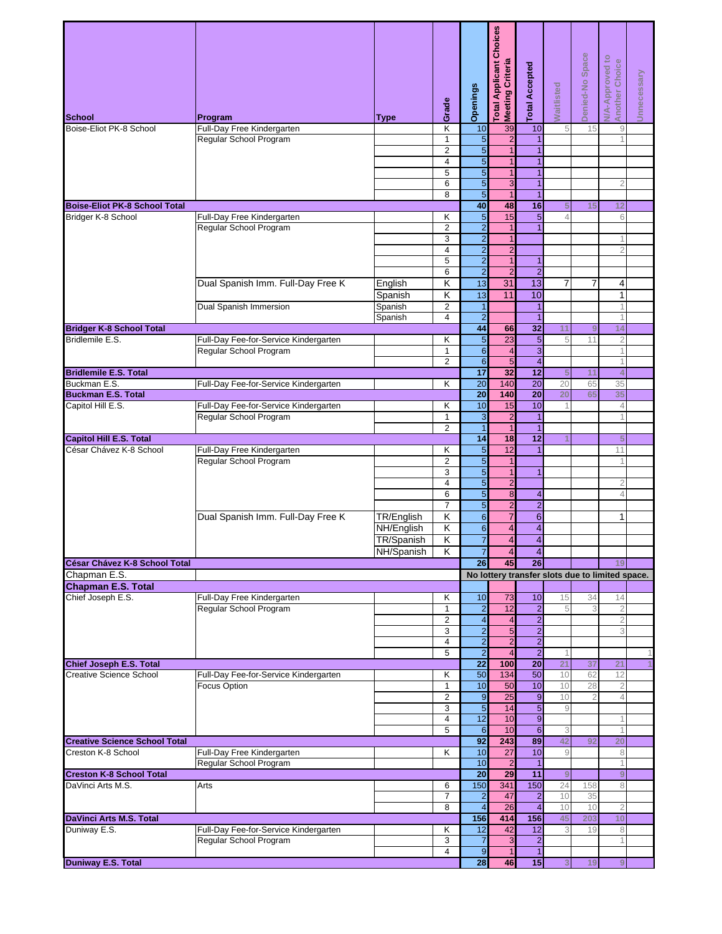| School                                    | Program                                                         |                    | Grade                            | Openings                           | otal Applicant Choices<br>Meeting Criteria | <b>Total Accepted</b>              | <b>Naitlisted</b>    | Denied-No Space |                                                                                                                                                                                                                                                                                                                                                                                                                                                                                                          | Unnecessary |
|-------------------------------------------|-----------------------------------------------------------------|--------------------|----------------------------------|------------------------------------|--------------------------------------------|------------------------------------|----------------------|-----------------|----------------------------------------------------------------------------------------------------------------------------------------------------------------------------------------------------------------------------------------------------------------------------------------------------------------------------------------------------------------------------------------------------------------------------------------------------------------------------------------------------------|-------------|
| Boise-Eliot PK-8 School                   | Full-Day Free Kindergarten                                      | Type               | Κ                                | 10                                 | 39                                         | 10                                 | 5                    | 15              |                                                                                                                                                                                                                                                                                                                                                                                                                                                                                                          |             |
|                                           | Regular School Program                                          |                    | 1                                | $\overline{5}$                     | $\overline{c}$                             |                                    |                      |                 |                                                                                                                                                                                                                                                                                                                                                                                                                                                                                                          |             |
|                                           |                                                                 |                    | $\overline{2}$                   | 5                                  | $\mathbf{1}$                               | $\mathbf{1}$                       |                      |                 |                                                                                                                                                                                                                                                                                                                                                                                                                                                                                                          |             |
|                                           |                                                                 |                    | $\overline{4}$                   | $\overline{5}$                     | $\mathbf{1}$                               | $\mathbf{1}$                       |                      |                 |                                                                                                                                                                                                                                                                                                                                                                                                                                                                                                          |             |
|                                           |                                                                 |                    | 5                                | $\overline{5}$                     | $\overline{1}$                             | $\overline{1}$                     |                      |                 |                                                                                                                                                                                                                                                                                                                                                                                                                                                                                                          |             |
|                                           | Full-Day Free Kindergarten<br>Regular School Program            |                    | 6                                | 5                                  | 3                                          | $\mathbf{1}$                       |                      |                 | 2                                                                                                                                                                                                                                                                                                                                                                                                                                                                                                        |             |
| <b>Boise-Eliot PK-8 School Total</b>      |                                                                 |                    | 8                                | $\overline{5}$<br>40               | $\overline{1}$<br>48                       | $\mathbf{1}$<br>16                 |                      | 15              |                                                                                                                                                                                                                                                                                                                                                                                                                                                                                                          |             |
| Bridger K-8 School                        |                                                                 |                    | κ                                | 5                                  | 15                                         | $\overline{5}$                     | 5<br>$\overline{4}$  |                 |                                                                                                                                                                                                                                                                                                                                                                                                                                                                                                          |             |
|                                           |                                                                 |                    | $\overline{2}$                   | $\overline{2}$                     | $\overline{1}$                             | $\overline{1}$                     |                      |                 |                                                                                                                                                                                                                                                                                                                                                                                                                                                                                                          |             |
|                                           |                                                                 |                    | 3                                | $\overline{2}$                     | $\mathbf{1}$                               |                                    |                      |                 | 1                                                                                                                                                                                                                                                                                                                                                                                                                                                                                                        |             |
|                                           |                                                                 |                    | $\overline{4}$                   | $\overline{2}$                     | $\overline{2}$                             |                                    |                      |                 | $\overline{2}$                                                                                                                                                                                                                                                                                                                                                                                                                                                                                           |             |
|                                           |                                                                 |                    | 5                                | $\overline{2}$                     | $\overline{1}$                             | $\mathbf{1}$                       |                      |                 |                                                                                                                                                                                                                                                                                                                                                                                                                                                                                                          |             |
|                                           |                                                                 |                    | 6                                | $\overline{2}$                     | $\overline{2}$                             | $\overline{2}$                     |                      |                 |                                                                                                                                                                                                                                                                                                                                                                                                                                                                                                          |             |
|                                           | Dual Spanish Imm. Full-Day Free K                               | English            | Κ                                | 13                                 | 31                                         | $\overline{13}$                    | 7                    | 7               | 4                                                                                                                                                                                                                                                                                                                                                                                                                                                                                                        |             |
|                                           |                                                                 | Spanish            | Κ                                | 13                                 | 11                                         | 10                                 |                      |                 | <b>N/A-Approved to</b><br>Another Choice<br>$\mathcal{G}$<br>12<br>6<br>$\mathbf{1}$<br>$\mathbf 1$<br>1<br>14<br>$\overline{2}$<br>1<br>1<br>$\overline{4}$<br>35<br>35<br>$\overline{4}$<br>1<br>5<br>11<br>$\overline{1}$<br>$\overline{2}$<br>$\overline{4}$<br>1<br>19<br>No lottery transfer slots due to limited space.<br>14<br>$\overline{2}$<br>$\overline{2}$<br>3<br>21<br>12<br>$\overline{2}$<br>$\overline{4}$<br>1<br>1<br>20<br>8<br>1<br>9<br>8<br>$\overline{2}$<br>10<br>8<br>1<br>9 |             |
|                                           | <b>Dual Spanish Immersion</b>                                   | Spanish<br>Spanish | $\overline{2}$<br>$\overline{4}$ | $\mathbf{1}$<br>$\overline{2}$     |                                            | $\mathbf{1}$<br>$\overline{1}$     |                      |                 |                                                                                                                                                                                                                                                                                                                                                                                                                                                                                                          |             |
| <b>Bridger K-8 School Total</b>           |                                                                 |                    |                                  | 44                                 | 66                                         | $\overline{32}$                    | 11                   | 9               |                                                                                                                                                                                                                                                                                                                                                                                                                                                                                                          |             |
| Bridlemile E.S.                           | Full-Day Fee-for-Service Kindergarten                           |                    | κ                                | 5                                  | 23                                         | $\overline{5}$                     | 5                    | 11              |                                                                                                                                                                                                                                                                                                                                                                                                                                                                                                          |             |
|                                           | Regular School Program                                          |                    | 1                                | $\sigma$                           | $\overline{\mathbf{4}}$                    | $\overline{3}$                     |                      |                 |                                                                                                                                                                                                                                                                                                                                                                                                                                                                                                          |             |
|                                           |                                                                 |                    | $\overline{2}$                   | $\overline{6}$                     | $\overline{5}$                             | $\overline{\mathbf{r}}$            |                      |                 |                                                                                                                                                                                                                                                                                                                                                                                                                                                                                                          |             |
| <b>Bridlemile E.S. Total</b>              |                                                                 |                    |                                  | $\overline{17}$                    | 32                                         | $\overline{12}$                    | 5                    | 11              |                                                                                                                                                                                                                                                                                                                                                                                                                                                                                                          |             |
| Buckman E.S.<br><b>Buckman E.S. Total</b> | Full-Day Fee-for-Service Kindergarten                           |                    | κ                                | $\overline{20}$<br>$\overline{20}$ | 140<br>140                                 | $\overline{20}$<br>$\overline{20}$ | 20<br>20             | 65<br>65        |                                                                                                                                                                                                                                                                                                                                                                                                                                                                                                          |             |
| Capitol Hill E.S.                         | Full-Day Fee-for-Service Kindergarten                           |                    | Κ                                | 10                                 | 15                                         | 10                                 |                      |                 |                                                                                                                                                                                                                                                                                                                                                                                                                                                                                                          |             |
|                                           | Regular School Program                                          |                    | 1                                | 3                                  | $\overline{c}$                             | $\mathbf{1}$                       |                      |                 |                                                                                                                                                                                                                                                                                                                                                                                                                                                                                                          |             |
|                                           |                                                                 |                    | $\overline{2}$                   | $\overline{1}$                     | $\overline{1}$                             | $\mathbf{1}$                       |                      |                 |                                                                                                                                                                                                                                                                                                                                                                                                                                                                                                          |             |
| <b>Capitol Hill E.S. Total</b>            |                                                                 |                    |                                  | $\overline{14}$                    | 18                                         | $\overline{12}$                    |                      |                 |                                                                                                                                                                                                                                                                                                                                                                                                                                                                                                          |             |
| César Chávez K-8 School                   | Full-Day Free Kindergarten                                      |                    | κ                                | $\overline{5}$                     | 12                                         | $\mathbf{1}$                       |                      |                 |                                                                                                                                                                                                                                                                                                                                                                                                                                                                                                          |             |
|                                           | Regular School Program                                          |                    | $\overline{2}$<br>3              | $\overline{5}$<br>5                | $\overline{1}$<br>$\mathbf{1}$             | 1                                  |                      |                 |                                                                                                                                                                                                                                                                                                                                                                                                                                                                                                          |             |
|                                           |                                                                 |                    | $\overline{4}$                   | 5                                  | $\overline{2}$                             |                                    |                      |                 |                                                                                                                                                                                                                                                                                                                                                                                                                                                                                                          |             |
|                                           |                                                                 |                    | 6                                | 5                                  | $\boldsymbol{8}$                           | 4                                  |                      |                 |                                                                                                                                                                                                                                                                                                                                                                                                                                                                                                          |             |
|                                           |                                                                 |                    | $\overline{7}$                   | $\overline{5}$                     | $\overline{\mathbf{c}}$                    | $\overline{2}$                     |                      |                 |                                                                                                                                                                                                                                                                                                                                                                                                                                                                                                          |             |
|                                           | Dual Spanish Imm. Full-Day Free K                               | TR/English         | K                                | $\overline{6}$                     | $\overline{7}$                             | $\,6\,$                            |                      |                 |                                                                                                                                                                                                                                                                                                                                                                                                                                                                                                          |             |
|                                           |                                                                 | NH/English         | Κ                                | $\overline{6}$                     | $\overline{4}$                             | $\overline{4}$                     |                      |                 |                                                                                                                                                                                                                                                                                                                                                                                                                                                                                                          |             |
|                                           |                                                                 | <b>TR/Spanish</b>  | Κ                                | $\overline{7}$                     | $\overline{\mathbf{4}}$                    | $\overline{4}$                     |                      |                 |                                                                                                                                                                                                                                                                                                                                                                                                                                                                                                          |             |
| César Chávez K-8 School Total             |                                                                 | NH/Spanish         | ĸ                                | $\overline{7}$<br>26               | $\overline{a}$<br>45                       | $\overline{4}$<br>26               |                      |                 |                                                                                                                                                                                                                                                                                                                                                                                                                                                                                                          |             |
| Chapman E.S.                              |                                                                 |                    |                                  |                                    |                                            |                                    |                      |                 |                                                                                                                                                                                                                                                                                                                                                                                                                                                                                                          |             |
| <b>Chapman E.S. Total</b>                 |                                                                 |                    |                                  |                                    |                                            |                                    |                      |                 |                                                                                                                                                                                                                                                                                                                                                                                                                                                                                                          |             |
| Chief Joseph E.S.                         | Full-Day Free Kindergarten                                      |                    | Κ                                | 10                                 | $\overline{73}$                            | 10                                 | 15                   | 34              |                                                                                                                                                                                                                                                                                                                                                                                                                                                                                                          |             |
|                                           | Regular School Program                                          |                    | 1                                | $\overline{2}$                     | 12                                         | $\overline{\mathbf{c}}$            | 5                    | 3               |                                                                                                                                                                                                                                                                                                                                                                                                                                                                                                          |             |
|                                           |                                                                 |                    | $\overline{2}$                   | $\overline{\mathbf{4}}$            | $\overline{\mathbf{4}}$                    | $\overline{2}$                     |                      |                 |                                                                                                                                                                                                                                                                                                                                                                                                                                                                                                          |             |
|                                           |                                                                 |                    | 3<br>4                           | $\overline{a}$<br>$\overline{2}$   | $\overline{5}$<br>$\overline{2}$           | $\overline{2}$<br>$\overline{a}$   |                      |                 |                                                                                                                                                                                                                                                                                                                                                                                                                                                                                                          |             |
|                                           |                                                                 |                    | 5                                | $\overline{2}$                     | $\overline{\mathbf{4}}$                    | $\overline{2}$                     | 1                    |                 |                                                                                                                                                                                                                                                                                                                                                                                                                                                                                                          |             |
| <b>Chief Joseph E.S. Total</b>            |                                                                 |                    |                                  | $\overline{22}$                    | 100                                        | $\overline{20}$                    | 21                   | 37              |                                                                                                                                                                                                                                                                                                                                                                                                                                                                                                          |             |
| <b>Creative Science School</b>            | Full-Day Fee-for-Service Kindergarten                           |                    | Κ                                | 50                                 | 134                                        | 50                                 | 10                   | 62              |                                                                                                                                                                                                                                                                                                                                                                                                                                                                                                          |             |
|                                           | <b>Focus Option</b>                                             |                    | 1                                | 10                                 | 50                                         | 10                                 | 10                   | 28              |                                                                                                                                                                                                                                                                                                                                                                                                                                                                                                          |             |
|                                           |                                                                 |                    | $\overline{2}$<br>3              | $\overline{9}$<br>$\overline{5}$   | 25<br>14                                   | $\mathbf 9$<br>5                   | 10<br>$\overline{9}$ | $\overline{2}$  |                                                                                                                                                                                                                                                                                                                                                                                                                                                                                                          |             |
|                                           |                                                                 |                    | $\overline{4}$                   | 12                                 | 10                                         | $\overline{9}$                     |                      |                 |                                                                                                                                                                                                                                                                                                                                                                                                                                                                                                          |             |
|                                           |                                                                 |                    | 5                                | $6 \overline{6}$                   | 10                                         | $\overline{6}$                     | 3                    |                 |                                                                                                                                                                                                                                                                                                                                                                                                                                                                                                          |             |
| <b>Creative Science School Total</b>      |                                                                 |                    |                                  | $\overline{92}$                    | 243                                        | 89                                 | 42                   | 92              |                                                                                                                                                                                                                                                                                                                                                                                                                                                                                                          |             |
| Creston K-8 School                        | Full-Day Free Kindergarten                                      |                    | Κ                                | 10                                 | 27                                         | 10                                 | 9                    |                 |                                                                                                                                                                                                                                                                                                                                                                                                                                                                                                          |             |
| <b>Creston K-8 School Total</b>           | Regular School Program                                          |                    |                                  | 10<br>20                           | $\overline{c}$<br>29                       | $\mathbf{1}$<br>$\overline{11}$    | 9                    |                 |                                                                                                                                                                                                                                                                                                                                                                                                                                                                                                          |             |
| DaVinci Arts M.S.                         | Arts                                                            |                    | 6                                | 150                                | 341                                        | 150                                | 24                   | 158             |                                                                                                                                                                                                                                                                                                                                                                                                                                                                                                          |             |
|                                           |                                                                 |                    | $\overline{7}$                   | $\overline{\mathbf{c}}$            | 47                                         | $\overline{\mathbf{c}}$            | 10                   | 35              |                                                                                                                                                                                                                                                                                                                                                                                                                                                                                                          |             |
|                                           |                                                                 |                    | 8                                | $\overline{\mathbf{4}}$            | $\overline{26}$                            | $\overline{\mathbf{4}}$            | 10                   | 10              |                                                                                                                                                                                                                                                                                                                                                                                                                                                                                                          |             |
| DaVinci Arts M.S. Total                   |                                                                 |                    |                                  | 156                                | 414                                        | 156                                | 45                   | 203             |                                                                                                                                                                                                                                                                                                                                                                                                                                                                                                          |             |
| Duniway E.S.                              | Full-Day Fee-for-Service Kindergarten<br>Regular School Program |                    | Κ<br>3                           | 12<br>$\overline{7}$               | 42<br>3                                    | 12<br>$\overline{\mathbf{c}}$      | 3                    | 19              |                                                                                                                                                                                                                                                                                                                                                                                                                                                                                                          |             |
|                                           |                                                                 |                    | $\overline{4}$                   | $\overline{9}$                     | $\overline{1}$                             | 1                                  |                      |                 |                                                                                                                                                                                                                                                                                                                                                                                                                                                                                                          |             |
| <b>Duniway E.S. Total</b>                 |                                                                 |                    |                                  | 28                                 | 46                                         | 15                                 | 3                    | 19              |                                                                                                                                                                                                                                                                                                                                                                                                                                                                                                          |             |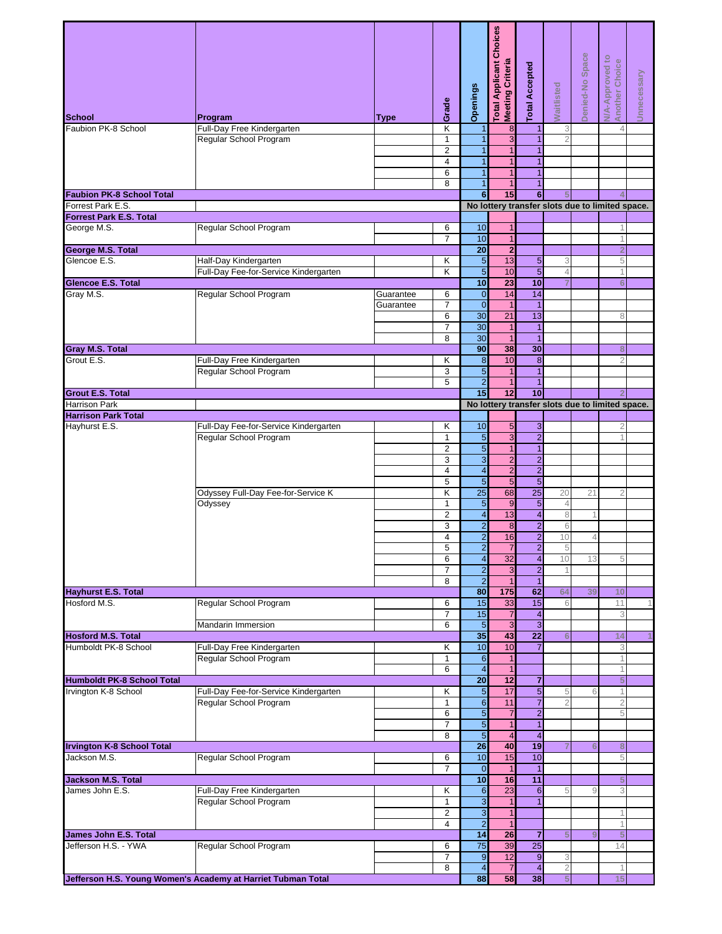|                                      |                                                                 |           | Grade               | Openings                                    | Choices<br>Meeting Criteria<br>otal Applicant | <b>Total Accepted</b>             | <b>Naitlisted</b> | Denied-No Space |                                                                                                                                                                                                                                                                                                                                          | Unnecessary |
|--------------------------------------|-----------------------------------------------------------------|-----------|---------------------|---------------------------------------------|-----------------------------------------------|-----------------------------------|-------------------|-----------------|------------------------------------------------------------------------------------------------------------------------------------------------------------------------------------------------------------------------------------------------------------------------------------------------------------------------------------------|-------------|
| <b>School</b><br>Faubion PK-8 School | Program<br>Full-Day Free Kindergarten                           | Type      | Κ                   | $\overline{1}$                              | $\overline{8}$                                | 1                                 | 3                 |                 |                                                                                                                                                                                                                                                                                                                                          |             |
|                                      | Regular School Program                                          |           | 1                   | 1                                           | 3                                             | 1                                 | 2                 |                 |                                                                                                                                                                                                                                                                                                                                          |             |
|                                      |                                                                 |           | $\overline{2}$      | $\overline{1}$                              | $\mathbf{1}$                                  | $\mathbf{1}$                      |                   |                 |                                                                                                                                                                                                                                                                                                                                          |             |
|                                      |                                                                 |           | $\overline{4}$      | 1                                           | $\mathbf{1}$                                  | $\mathbf{1}$                      |                   |                 |                                                                                                                                                                                                                                                                                                                                          |             |
|                                      |                                                                 |           | 6<br>8              | $\overline{1}$<br>$\overline{1}$            | $\overline{1}$<br>$\mathbf{1}$                | $\overline{1}$<br>$\overline{1}$  |                   |                 |                                                                                                                                                                                                                                                                                                                                          |             |
| <b>Faubion PK-8 School Total</b>     |                                                                 |           |                     | $6\phantom{1}$                              | 15                                            | 6                                 | 5                 |                 |                                                                                                                                                                                                                                                                                                                                          |             |
| Forrest Park E.S.                    |                                                                 |           |                     |                                             |                                               |                                   |                   |                 |                                                                                                                                                                                                                                                                                                                                          |             |
| <b>Forrest Park E.S. Total</b>       |                                                                 |           |                     |                                             |                                               |                                   |                   |                 |                                                                                                                                                                                                                                                                                                                                          |             |
| George M.S.                          | Regular School Program                                          |           | 6                   | 10                                          | $\mathbf{1}$                                  |                                   |                   |                 | 1                                                                                                                                                                                                                                                                                                                                        |             |
| <b>George M.S. Total</b>             |                                                                 |           | $\overline{7}$      | 10<br>$\overline{20}$                       | $\mathbf{1}$<br>$\overline{2}$                |                                   |                   |                 |                                                                                                                                                                                                                                                                                                                                          |             |
| Glencoe E.S.                         | Half-Day Kindergarten                                           |           | Κ                   | 5                                           | 13                                            | $5\overline{)}$                   | 3                 |                 |                                                                                                                                                                                                                                                                                                                                          |             |
|                                      | Full-Day Fee-for-Service Kindergarten                           |           | κ                   | 5                                           | 10                                            | $\overline{5}$                    | $\overline{4}$    |                 | 1                                                                                                                                                                                                                                                                                                                                        |             |
| <b>Glencoe E.S. Total</b>            |                                                                 |           |                     | 10                                          | 23                                            | 10                                |                   |                 | 6                                                                                                                                                                                                                                                                                                                                        |             |
| Gray M.S.                            | Regular School Program                                          | Guarantee | 6                   | $\mathbf 0$                                 | 14                                            | 14                                |                   |                 |                                                                                                                                                                                                                                                                                                                                          |             |
|                                      |                                                                 | Guarantee | $\overline{7}$<br>6 | $\overline{0}$<br>30                        | $\overline{1}$<br>21                          | $\overline{1}$<br>13              |                   |                 |                                                                                                                                                                                                                                                                                                                                          |             |
|                                      |                                                                 |           | $\overline{7}$      | 30                                          | $\overline{1}$                                | $\mathbf{1}$                      |                   |                 |                                                                                                                                                                                                                                                                                                                                          |             |
|                                      |                                                                 |           | 8                   | 30                                          | $\overline{1}$                                | $\overline{1}$                    |                   |                 |                                                                                                                                                                                                                                                                                                                                          |             |
| <b>Gray M.S. Total</b>               |                                                                 |           |                     | 90                                          | 38                                            | 30                                |                   |                 | 8                                                                                                                                                                                                                                                                                                                                        |             |
| Grout E.S.                           | Full-Day Free Kindergarten                                      |           | Κ                   | $\bf 8$                                     | 10                                            | 8<br>$\overline{1}$               |                   |                 |                                                                                                                                                                                                                                                                                                                                          |             |
|                                      | Regular School Program                                          |           | 3<br>5              | 5<br>$\overline{2}$                         | $\overline{1}$<br>$\overline{1}$              | $\overline{1}$                    |                   |                 |                                                                                                                                                                                                                                                                                                                                          |             |
| <b>Grout E.S. Total</b>              |                                                                 |           |                     | 15                                          | 12                                            | 10                                |                   |                 |                                                                                                                                                                                                                                                                                                                                          |             |
| <b>Harrison Park</b>                 |                                                                 |           |                     |                                             |                                               |                                   |                   |                 |                                                                                                                                                                                                                                                                                                                                          |             |
| <b>Harrison Park Total</b>           |                                                                 |           |                     |                                             |                                               |                                   |                   |                 |                                                                                                                                                                                                                                                                                                                                          |             |
| Hayhurst E.S.                        | Full-Day Fee-for-Service Kindergarten<br>Regular School Program |           | κ<br>$\mathbf 1$    | 10<br>$\overline{5}$                        | 5<br>3                                        | $\mathbf{3}$<br>$\overline{2}$    |                   |                 |                                                                                                                                                                                                                                                                                                                                          |             |
|                                      |                                                                 |           | $\overline{2}$      | $\overline{5}$                              | $\overline{1}$                                | $\overline{1}$                    |                   |                 |                                                                                                                                                                                                                                                                                                                                          |             |
|                                      |                                                                 |           | 3                   | $\overline{3}$                              | $\overline{\mathbf{c}}$                       | $\overline{2}$                    |                   |                 |                                                                                                                                                                                                                                                                                                                                          |             |
|                                      |                                                                 |           | $\overline{4}$      | $\overline{4}$                              | $\overline{2}$                                | $\overline{2}$                    |                   |                 |                                                                                                                                                                                                                                                                                                                                          |             |
|                                      | Odyssey Full-Day Fee-for-Service K                              |           | 5<br>Κ              | $\overline{5}$<br>$\overline{25}$           | 5<br>68                                       | $\overline{5}$<br>$\overline{25}$ | 20                | 21              |                                                                                                                                                                                                                                                                                                                                          |             |
|                                      | Odyssey                                                         |           | 1                   | 5                                           | 9                                             | $\overline{5}$                    | $\overline{4}$    |                 |                                                                                                                                                                                                                                                                                                                                          |             |
|                                      |                                                                 |           | $\overline{2}$      | $\overline{\mathbf{r}}$                     | 13                                            | $\overline{\mathbf{4}}$           | 8                 |                 |                                                                                                                                                                                                                                                                                                                                          |             |
|                                      |                                                                 |           | 3                   | $\overline{2}$                              | 8                                             | $\overline{2}$                    | 6                 |                 |                                                                                                                                                                                                                                                                                                                                          |             |
|                                      |                                                                 |           | $\overline{4}$      | $\overline{2}$                              | 16                                            | $\overline{2}$                    | 10                | $\overline{4}$  |                                                                                                                                                                                                                                                                                                                                          |             |
|                                      |                                                                 |           | 5<br>6              | $\overline{2}$<br>$\overline{\mathbf{4}}$   | 32                                            | $\overline{2}$<br>$\overline{4}$  | $\sqrt{5}$<br>10  | 13              |                                                                                                                                                                                                                                                                                                                                          |             |
|                                      |                                                                 |           | $\overline{7}$      | $\overline{2}$                              | 3                                             | $\overline{2}$                    |                   |                 |                                                                                                                                                                                                                                                                                                                                          |             |
|                                      |                                                                 |           | 8                   | $\overline{2}$                              | $\mathbf{1}$                                  | $\mathbf{1}$                      |                   |                 |                                                                                                                                                                                                                                                                                                                                          |             |
| <b>Hayhurst E.S. Total</b>           |                                                                 |           |                     | 80                                          | 175                                           | 62                                | 64                | 39              | 10                                                                                                                                                                                                                                                                                                                                       |             |
| Hosford M.S.                         | Regular School Program                                          |           | 6<br>$\overline{7}$ | 15<br>15                                    | 33<br>$\overline{7}$                          | 15<br>$\overline{\mathbf{4}}$     | 6                 |                 |                                                                                                                                                                                                                                                                                                                                          |             |
|                                      | <b>Mandarin Immersion</b>                                       |           | 6                   | $\overline{5}$                              | $\overline{3}$                                | $\overline{3}$                    |                   |                 | <b>N/A-Approved to</b><br>Another Choice<br>4<br>No lottery transfer slots due to limited space.<br>1<br>$\overline{2}$<br>5<br>8<br>$\overline{2}$<br>No lottery transfer slots due to limited space.<br>$\overline{2}$<br>5<br>11<br>3<br>14<br>3<br>5<br>1<br>$\overline{2}$<br>5<br>8<br>5<br>5<br>3<br>1<br>1<br>5<br>14<br>1<br>15 |             |
| <b>Hosford M.S. Total</b>            |                                                                 |           |                     | 35                                          | 43                                            | $\overline{22}$                   | $6\phantom{1}6$   |                 |                                                                                                                                                                                                                                                                                                                                          |             |
| Humboldt PK-8 School                 | Full-Day Free Kindergarten                                      |           | κ                   | 10                                          | 10                                            | $\overline{7}$                    |                   |                 |                                                                                                                                                                                                                                                                                                                                          |             |
|                                      | Regular School Program                                          |           | 1<br>6              | $6 \overline{6}$<br>$\overline{\mathbf{4}}$ | $\overline{1}$<br>$\overline{1}$              |                                   |                   |                 |                                                                                                                                                                                                                                                                                                                                          |             |
| <b>Humboldt PK-8 School Total</b>    |                                                                 |           |                     | 20                                          | $\overline{12}$                               | $\overline{7}$                    |                   |                 |                                                                                                                                                                                                                                                                                                                                          |             |
| Irvington K-8 School                 | Full-Day Fee-for-Service Kindergarten                           |           | Κ                   | $\overline{5}$                              | 17                                            | $\overline{5}$                    | 5                 |                 |                                                                                                                                                                                                                                                                                                                                          |             |
|                                      | Regular School Program                                          |           | $\mathbf{1}$        | $\overline{6}$                              | 11                                            | $\overline{7}$                    |                   |                 |                                                                                                                                                                                                                                                                                                                                          |             |
|                                      |                                                                 |           | 6<br>$\overline{7}$ | $\overline{5}$<br>$\overline{5}$            | $\overline{7}$<br>$\overline{1}$              | $\overline{2}$<br>$\overline{1}$  |                   |                 |                                                                                                                                                                                                                                                                                                                                          |             |
|                                      |                                                                 |           | 8                   | $\overline{5}$                              | $\overline{\mathcal{A}}$                      | $\overline{4}$                    |                   |                 |                                                                                                                                                                                                                                                                                                                                          |             |
| <b>Irvington K-8 School Total</b>    |                                                                 |           |                     | 26                                          | 40                                            | 19                                |                   |                 |                                                                                                                                                                                                                                                                                                                                          |             |
| Jackson M.S.                         | Regular School Program                                          |           | 6                   | 10                                          | 15                                            | 10                                |                   |                 |                                                                                                                                                                                                                                                                                                                                          |             |
| <b>Jackson M.S. Total</b>            |                                                                 |           | $\overline{7}$      | $\mathbf 0$<br>10                           | $\mathbf{1}$<br>16                            | $\overline{11}$                   |                   |                 |                                                                                                                                                                                                                                                                                                                                          |             |
| James John E.S.                      | Full-Day Free Kindergarten                                      |           | κ                   | $6 \,$                                      | 23                                            | $6 \,$                            | 5                 |                 |                                                                                                                                                                                                                                                                                                                                          |             |
|                                      | Regular School Program                                          |           | 1                   | $\mathbf{3}$                                | $\mathbf{1}$                                  | $\overline{1}$                    |                   |                 |                                                                                                                                                                                                                                                                                                                                          |             |
|                                      |                                                                 |           | $\overline{2}$      | 3                                           | $\mathbf{1}$                                  |                                   |                   |                 |                                                                                                                                                                                                                                                                                                                                          |             |
| James John E.S. Total                |                                                                 |           | 4                   | $\overline{a}$<br>14                        | $\overline{1}$<br>26                          | $\overline{7}$                    | 5                 |                 |                                                                                                                                                                                                                                                                                                                                          |             |
| Jefferson H.S. - YWA                 | Regular School Program                                          |           | 6                   | 75                                          | 39                                            | 25                                |                   |                 |                                                                                                                                                                                                                                                                                                                                          |             |
|                                      |                                                                 |           | $\overline{7}$      | $\overline{9}$                              | 12                                            | $\overline{9}$                    | 3                 |                 |                                                                                                                                                                                                                                                                                                                                          |             |
|                                      |                                                                 |           | 8                   | $\overline{\mathbf{4}}$                     | $\overline{7}$                                | $\overline{4}$                    | $\overline{2}$    |                 |                                                                                                                                                                                                                                                                                                                                          |             |
|                                      | Jefferson H.S. Young Women's Academy at Harriet Tubman Total    |           |                     | 88                                          | 58                                            | 38                                | 5                 |                 |                                                                                                                                                                                                                                                                                                                                          |             |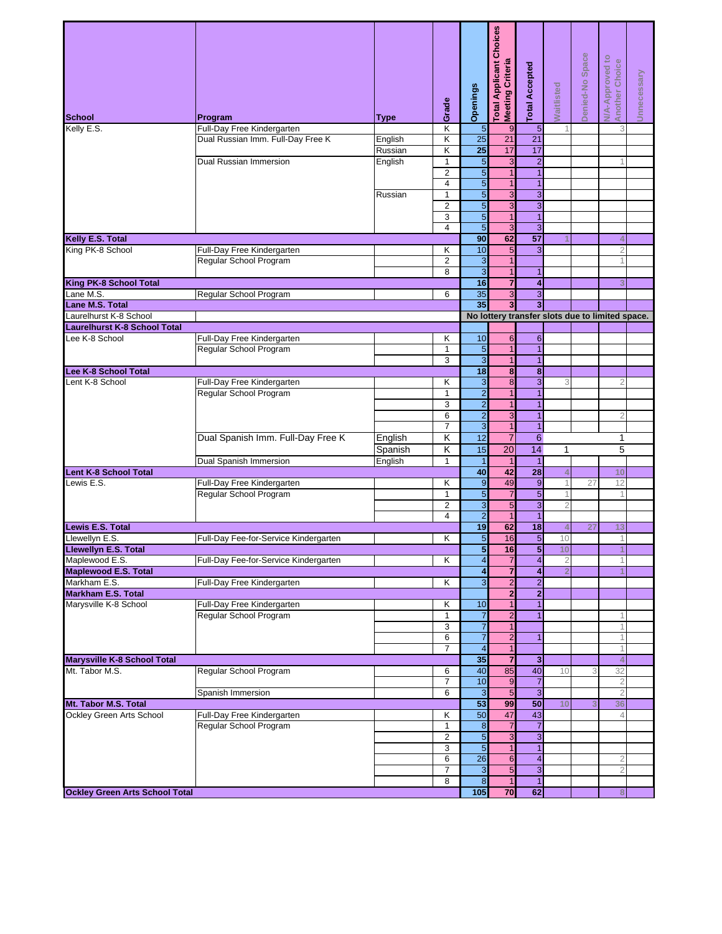| School                                    | Program                               | Type    | Grade                        | <b>Openings</b>                  | Choices<br>Meeting Criteria<br><b>Total Applicant</b> | <b>Total Accepted</b>                                                                                                                                                                                                                                                                                                                                                                                                                                                                                                                                                                                                                                                                                                                                                                                                                                                                                                                                                                                                                                                                                                                                                                                                                                                                                                                                                                                                                                                                                                                                | <b>Waitlisted</b> | Denied-No Space | <b>N/A-Approved to</b><br>Another Choice | Unnecessary |
|-------------------------------------------|---------------------------------------|---------|------------------------------|----------------------------------|-------------------------------------------------------|------------------------------------------------------------------------------------------------------------------------------------------------------------------------------------------------------------------------------------------------------------------------------------------------------------------------------------------------------------------------------------------------------------------------------------------------------------------------------------------------------------------------------------------------------------------------------------------------------------------------------------------------------------------------------------------------------------------------------------------------------------------------------------------------------------------------------------------------------------------------------------------------------------------------------------------------------------------------------------------------------------------------------------------------------------------------------------------------------------------------------------------------------------------------------------------------------------------------------------------------------------------------------------------------------------------------------------------------------------------------------------------------------------------------------------------------------------------------------------------------------------------------------------------------------|-------------------|-----------------|------------------------------------------|-------------|
| Kelly E.S.                                | Full-Day Free Kindergarten            |         | Κ                            | $\overline{5}$                   | 9                                                     | $\overline{5}$                                                                                                                                                                                                                                                                                                                                                                                                                                                                                                                                                                                                                                                                                                                                                                                                                                                                                                                                                                                                                                                                                                                                                                                                                                                                                                                                                                                                                                                                                                                                       |                   |                 | 3                                        |             |
|                                           | Dual Russian Imm. Full-Day Free K     | English | K                            | 25                               | 21                                                    |                                                                                                                                                                                                                                                                                                                                                                                                                                                                                                                                                                                                                                                                                                                                                                                                                                                                                                                                                                                                                                                                                                                                                                                                                                                                                                                                                                                                                                                                                                                                                      |                   |                 |                                          |             |
|                                           |                                       | Russian | Κ                            | 25                               | 17                                                    |                                                                                                                                                                                                                                                                                                                                                                                                                                                                                                                                                                                                                                                                                                                                                                                                                                                                                                                                                                                                                                                                                                                                                                                                                                                                                                                                                                                                                                                                                                                                                      |                   |                 |                                          |             |
|                                           | Dual Russian Immersion                | English | $\mathbf{1}$                 | $\overline{5}$                   |                                                       |                                                                                                                                                                                                                                                                                                                                                                                                                                                                                                                                                                                                                                                                                                                                                                                                                                                                                                                                                                                                                                                                                                                                                                                                                                                                                                                                                                                                                                                                                                                                                      |                   |                 |                                          |             |
|                                           |                                       |         | $\sqrt{2}$                   | 5                                |                                                       |                                                                                                                                                                                                                                                                                                                                                                                                                                                                                                                                                                                                                                                                                                                                                                                                                                                                                                                                                                                                                                                                                                                                                                                                                                                                                                                                                                                                                                                                                                                                                      |                   |                 |                                          |             |
|                                           |                                       |         | $\overline{\mathbf{4}}$      | 5                                |                                                       |                                                                                                                                                                                                                                                                                                                                                                                                                                                                                                                                                                                                                                                                                                                                                                                                                                                                                                                                                                                                                                                                                                                                                                                                                                                                                                                                                                                                                                                                                                                                                      |                   |                 |                                          |             |
|                                           |                                       | Russian | $\mathbf{1}$                 | 5                                |                                                       |                                                                                                                                                                                                                                                                                                                                                                                                                                                                                                                                                                                                                                                                                                                                                                                                                                                                                                                                                                                                                                                                                                                                                                                                                                                                                                                                                                                                                                                                                                                                                      |                   |                 |                                          |             |
|                                           |                                       |         | $\overline{2}$               | 5                                |                                                       |                                                                                                                                                                                                                                                                                                                                                                                                                                                                                                                                                                                                                                                                                                                                                                                                                                                                                                                                                                                                                                                                                                                                                                                                                                                                                                                                                                                                                                                                                                                                                      |                   |                 |                                          |             |
|                                           |                                       |         | 3<br>$\overline{\mathbf{4}}$ | $\mathfrak{g}$<br>5              |                                                       |                                                                                                                                                                                                                                                                                                                                                                                                                                                                                                                                                                                                                                                                                                                                                                                                                                                                                                                                                                                                                                                                                                                                                                                                                                                                                                                                                                                                                                                                                                                                                      |                   |                 |                                          |             |
| Kelly E.S. Total                          |                                       |         |                              | 90                               |                                                       |                                                                                                                                                                                                                                                                                                                                                                                                                                                                                                                                                                                                                                                                                                                                                                                                                                                                                                                                                                                                                                                                                                                                                                                                                                                                                                                                                                                                                                                                                                                                                      |                   |                 |                                          |             |
| King PK-8 School                          | Full-Day Free Kindergarten            |         | κ                            | 10                               |                                                       |                                                                                                                                                                                                                                                                                                                                                                                                                                                                                                                                                                                                                                                                                                                                                                                                                                                                                                                                                                                                                                                                                                                                                                                                                                                                                                                                                                                                                                                                                                                                                      |                   |                 |                                          |             |
|                                           | Regular School Program                |         | $\overline{2}$               | $\mathbf{3}$                     |                                                       |                                                                                                                                                                                                                                                                                                                                                                                                                                                                                                                                                                                                                                                                                                                                                                                                                                                                                                                                                                                                                                                                                                                                                                                                                                                                                                                                                                                                                                                                                                                                                      |                   |                 |                                          |             |
|                                           |                                       |         | 8                            | $\overline{3}$                   |                                                       |                                                                                                                                                                                                                                                                                                                                                                                                                                                                                                                                                                                                                                                                                                                                                                                                                                                                                                                                                                                                                                                                                                                                                                                                                                                                                                                                                                                                                                                                                                                                                      |                   |                 |                                          |             |
| <b>King PK-8 School Total</b>             |                                       |         |                              | 16                               |                                                       |                                                                                                                                                                                                                                                                                                                                                                                                                                                                                                                                                                                                                                                                                                                                                                                                                                                                                                                                                                                                                                                                                                                                                                                                                                                                                                                                                                                                                                                                                                                                                      |                   |                 | 3                                        |             |
| Lane M.S.                                 | Regular School Program                |         | 6                            | 35                               | 3                                                     |                                                                                                                                                                                                                                                                                                                                                                                                                                                                                                                                                                                                                                                                                                                                                                                                                                                                                                                                                                                                                                                                                                                                                                                                                                                                                                                                                                                                                                                                                                                                                      |                   |                 |                                          |             |
| Lane M.S. Total                           |                                       |         |                              | 35                               | $\overline{\mathbf{3}}$                               |                                                                                                                                                                                                                                                                                                                                                                                                                                                                                                                                                                                                                                                                                                                                                                                                                                                                                                                                                                                                                                                                                                                                                                                                                                                                                                                                                                                                                                                                                                                                                      |                   |                 |                                          |             |
| Laurelhurst K-8 School                    |                                       |         |                              |                                  |                                                       |                                                                                                                                                                                                                                                                                                                                                                                                                                                                                                                                                                                                                                                                                                                                                                                                                                                                                                                                                                                                                                                                                                                                                                                                                                                                                                                                                                                                                                                                                                                                                      |                   |                 |                                          |             |
| Laurelhurst K-8 School Total              |                                       |         |                              |                                  |                                                       |                                                                                                                                                                                                                                                                                                                                                                                                                                                                                                                                                                                                                                                                                                                                                                                                                                                                                                                                                                                                                                                                                                                                                                                                                                                                                                                                                                                                                                                                                                                                                      |                   |                 |                                          |             |
| Lee K-8 School                            | Full-Day Free Kindergarten            |         | Κ                            | 10                               | $6\phantom{1}6$                                       | $6\phantom{.}$                                                                                                                                                                                                                                                                                                                                                                                                                                                                                                                                                                                                                                                                                                                                                                                                                                                                                                                                                                                                                                                                                                                                                                                                                                                                                                                                                                                                                                                                                                                                       |                   |                 |                                          |             |
|                                           | Regular School Program                |         | $\mathbf{1}$                 | $\mathfrak{g}$                   | $\overline{1}$                                        | $\mathbf{1}$                                                                                                                                                                                                                                                                                                                                                                                                                                                                                                                                                                                                                                                                                                                                                                                                                                                                                                                                                                                                                                                                                                                                                                                                                                                                                                                                                                                                                                                                                                                                         |                   |                 |                                          |             |
|                                           |                                       |         | 3                            | $\mathbf{3}$                     |                                                       |                                                                                                                                                                                                                                                                                                                                                                                                                                                                                                                                                                                                                                                                                                                                                                                                                                                                                                                                                                                                                                                                                                                                                                                                                                                                                                                                                                                                                                                                                                                                                      |                   |                 |                                          |             |
| Lee K-8 School Total                      |                                       |         |                              | 18                               |                                                       |                                                                                                                                                                                                                                                                                                                                                                                                                                                                                                                                                                                                                                                                                                                                                                                                                                                                                                                                                                                                                                                                                                                                                                                                                                                                                                                                                                                                                                                                                                                                                      |                   |                 |                                          |             |
| Lent K-8 School                           | Full-Day Free Kindergarten            |         | κ                            | 3                                |                                                       |                                                                                                                                                                                                                                                                                                                                                                                                                                                                                                                                                                                                                                                                                                                                                                                                                                                                                                                                                                                                                                                                                                                                                                                                                                                                                                                                                                                                                                                                                                                                                      |                   |                 |                                          |             |
|                                           | Regular School Program                |         | $\mathbf{1}$                 | $\overline{2}$                   |                                                       |                                                                                                                                                                                                                                                                                                                                                                                                                                                                                                                                                                                                                                                                                                                                                                                                                                                                                                                                                                                                                                                                                                                                                                                                                                                                                                                                                                                                                                                                                                                                                      |                   |                 |                                          |             |
|                                           |                                       |         | 3<br>6                       | $\overline{c}$                   |                                                       |                                                                                                                                                                                                                                                                                                                                                                                                                                                                                                                                                                                                                                                                                                                                                                                                                                                                                                                                                                                                                                                                                                                                                                                                                                                                                                                                                                                                                                                                                                                                                      |                   |                 |                                          |             |
|                                           |                                       |         | $\overline{7}$               | $\overline{2}$<br>ω              |                                                       |                                                                                                                                                                                                                                                                                                                                                                                                                                                                                                                                                                                                                                                                                                                                                                                                                                                                                                                                                                                                                                                                                                                                                                                                                                                                                                                                                                                                                                                                                                                                                      |                   |                 |                                          |             |
|                                           | Dual Spanish Imm. Full-Day Free K     | English | Κ                            | 12                               |                                                       |                                                                                                                                                                                                                                                                                                                                                                                                                                                                                                                                                                                                                                                                                                                                                                                                                                                                                                                                                                                                                                                                                                                                                                                                                                                                                                                                                                                                                                                                                                                                                      |                   |                 |                                          |             |
|                                           |                                       | Spanish | Κ                            | 15                               |                                                       |                                                                                                                                                                                                                                                                                                                                                                                                                                                                                                                                                                                                                                                                                                                                                                                                                                                                                                                                                                                                                                                                                                                                                                                                                                                                                                                                                                                                                                                                                                                                                      |                   |                 |                                          |             |
|                                           | Dual Spanish Immersion                | English | $\mathbf{1}$                 | $\mathbf{1}$                     |                                                       |                                                                                                                                                                                                                                                                                                                                                                                                                                                                                                                                                                                                                                                                                                                                                                                                                                                                                                                                                                                                                                                                                                                                                                                                                                                                                                                                                                                                                                                                                                                                                      |                   |                 |                                          |             |
| <b>Lent K-8 School Total</b>              |                                       |         |                              | 40                               |                                                       |                                                                                                                                                                                                                                                                                                                                                                                                                                                                                                                                                                                                                                                                                                                                                                                                                                                                                                                                                                                                                                                                                                                                                                                                                                                                                                                                                                                                                                                                                                                                                      |                   |                 |                                          |             |
| Lewis E.S.                                | Full-Day Free Kindergarten            |         | Κ                            | G                                |                                                       |                                                                                                                                                                                                                                                                                                                                                                                                                                                                                                                                                                                                                                                                                                                                                                                                                                                                                                                                                                                                                                                                                                                                                                                                                                                                                                                                                                                                                                                                                                                                                      |                   |                 |                                          |             |
|                                           | Regular School Program                |         | $\mathbf{1}$                 | $\mathfrak{g}$                   |                                                       |                                                                                                                                                                                                                                                                                                                                                                                                                                                                                                                                                                                                                                                                                                                                                                                                                                                                                                                                                                                                                                                                                                                                                                                                                                                                                                                                                                                                                                                                                                                                                      |                   |                 |                                          |             |
|                                           |                                       |         | $\overline{2}$               | ω                                | $\overline{5}$                                        |                                                                                                                                                                                                                                                                                                                                                                                                                                                                                                                                                                                                                                                                                                                                                                                                                                                                                                                                                                                                                                                                                                                                                                                                                                                                                                                                                                                                                                                                                                                                                      | 2                 |                 |                                          |             |
|                                           |                                       |         | $\overline{4}$               | $\overline{2}$                   | $\overline{1}$                                        | $\mathbf{1}$                                                                                                                                                                                                                                                                                                                                                                                                                                                                                                                                                                                                                                                                                                                                                                                                                                                                                                                                                                                                                                                                                                                                                                                                                                                                                                                                                                                                                                                                                                                                         |                   |                 |                                          |             |
| <b>Lewis E.S. Total</b>                   |                                       |         |                              | 19                               | 62                                                    | 18                                                                                                                                                                                                                                                                                                                                                                                                                                                                                                                                                                                                                                                                                                                                                                                                                                                                                                                                                                                                                                                                                                                                                                                                                                                                                                                                                                                                                                                                                                                                                   | 4                 | 27              | 13                                       |             |
| Llewellyn E.S.                            | Full-Day Fee-for-Service Kindergarten |         | κ                            | $\overline{5}$                   | 16                                                    | $\overline{5}$                                                                                                                                                                                                                                                                                                                                                                                                                                                                                                                                                                                                                                                                                                                                                                                                                                                                                                                                                                                                                                                                                                                                                                                                                                                                                                                                                                                                                                                                                                                                       | 10                |                 |                                          |             |
| Llewellyn E.S. Total                      |                                       |         |                              | э                                | 16                                                    | э                                                                                                                                                                                                                                                                                                                                                                                                                                                                                                                                                                                                                                                                                                                                                                                                                                                                                                                                                                                                                                                                                                                                                                                                                                                                                                                                                                                                                                                                                                                                                    | 10                |                 |                                          |             |
| Maplewood E.S.                            | Full-Day Fee-for-Service Kindergarten |         | Κ                            | $\overline{\mathbf{4}}$          |                                                       |                                                                                                                                                                                                                                                                                                                                                                                                                                                                                                                                                                                                                                                                                                                                                                                                                                                                                                                                                                                                                                                                                                                                                                                                                                                                                                                                                                                                                                                                                                                                                      |                   |                 |                                          |             |
| <b>Maplewood E.S. Total</b>               |                                       |         |                              | 4                                |                                                       |                                                                                                                                                                                                                                                                                                                                                                                                                                                                                                                                                                                                                                                                                                                                                                                                                                                                                                                                                                                                                                                                                                                                                                                                                                                                                                                                                                                                                                                                                                                                                      |                   |                 |                                          |             |
| Markham E.S.<br><b>Markham E.S. Total</b> | Full-Day Free Kindergarten            |         | $\overline{\mathsf{K}}$      | $\mathbf{3}$                     |                                                       |                                                                                                                                                                                                                                                                                                                                                                                                                                                                                                                                                                                                                                                                                                                                                                                                                                                                                                                                                                                                                                                                                                                                                                                                                                                                                                                                                                                                                                                                                                                                                      |                   |                 |                                          |             |
| Marysville K-8 School                     | Full-Day Free Kindergarten            |         | Κ                            | 10                               |                                                       |                                                                                                                                                                                                                                                                                                                                                                                                                                                                                                                                                                                                                                                                                                                                                                                                                                                                                                                                                                                                                                                                                                                                                                                                                                                                                                                                                                                                                                                                                                                                                      |                   |                 |                                          |             |
|                                           | Regular School Program                |         | 1                            | $\overline{7}$                   |                                                       |                                                                                                                                                                                                                                                                                                                                                                                                                                                                                                                                                                                                                                                                                                                                                                                                                                                                                                                                                                                                                                                                                                                                                                                                                                                                                                                                                                                                                                                                                                                                                      |                   |                 |                                          |             |
|                                           |                                       |         | 3                            | $\overline{7}$                   |                                                       |                                                                                                                                                                                                                                                                                                                                                                                                                                                                                                                                                                                                                                                                                                                                                                                                                                                                                                                                                                                                                                                                                                                                                                                                                                                                                                                                                                                                                                                                                                                                                      |                   |                 |                                          |             |
|                                           |                                       |         | 6                            | $\overline{7}$                   |                                                       | $\mathbf{1}$                                                                                                                                                                                                                                                                                                                                                                                                                                                                                                                                                                                                                                                                                                                                                                                                                                                                                                                                                                                                                                                                                                                                                                                                                                                                                                                                                                                                                                                                                                                                         |                   |                 |                                          |             |
|                                           |                                       |         | 7                            | $\overline{\mathbf{4}}$          | $\overline{1}$                                        |                                                                                                                                                                                                                                                                                                                                                                                                                                                                                                                                                                                                                                                                                                                                                                                                                                                                                                                                                                                                                                                                                                                                                                                                                                                                                                                                                                                                                                                                                                                                                      |                   |                 | 1                                        |             |
| <b>Marysville K-8 School Total</b>        |                                       |         |                              | 35                               | $\overline{7}$                                        | 3                                                                                                                                                                                                                                                                                                                                                                                                                                                                                                                                                                                                                                                                                                                                                                                                                                                                                                                                                                                                                                                                                                                                                                                                                                                                                                                                                                                                                                                                                                                                                    |                   |                 | $\overline{4}$                           |             |
| Mt. Tabor M.S.                            | Regular School Program                |         | 6                            | 40                               | 85                                                    | 40                                                                                                                                                                                                                                                                                                                                                                                                                                                                                                                                                                                                                                                                                                                                                                                                                                                                                                                                                                                                                                                                                                                                                                                                                                                                                                                                                                                                                                                                                                                                                   | 10                |                 | 32                                       |             |
|                                           |                                       |         | $\boldsymbol{7}$             | 10                               | 9                                                     | $\overline{7}$                                                                                                                                                                                                                                                                                                                                                                                                                                                                                                                                                                                                                                                                                                                                                                                                                                                                                                                                                                                                                                                                                                                                                                                                                                                                                                                                                                                                                                                                                                                                       |                   |                 | $\overline{2}$                           |             |
|                                           | Spanish Immersion                     |         | 6                            | $\overline{\mathbf{3}}$          | $\overline{5}$                                        | $\mathbf{3}$                                                                                                                                                                                                                                                                                                                                                                                                                                                                                                                                                                                                                                                                                                                                                                                                                                                                                                                                                                                                                                                                                                                                                                                                                                                                                                                                                                                                                                                                                                                                         |                   |                 | $\overline{2}$                           |             |
| Mt. Tabor M.S. Total                      |                                       |         |                              | 53                               |                                                       |                                                                                                                                                                                                                                                                                                                                                                                                                                                                                                                                                                                                                                                                                                                                                                                                                                                                                                                                                                                                                                                                                                                                                                                                                                                                                                                                                                                                                                                                                                                                                      |                   |                 |                                          |             |
| Ockley Green Arts School                  | Full-Day Free Kindergarten            |         | Κ                            | 50                               |                                                       |                                                                                                                                                                                                                                                                                                                                                                                                                                                                                                                                                                                                                                                                                                                                                                                                                                                                                                                                                                                                                                                                                                                                                                                                                                                                                                                                                                                                                                                                                                                                                      |                   |                 |                                          |             |
|                                           | Regular School Program                |         | $\mathbf{1}$                 | $\boldsymbol{8}$                 |                                                       |                                                                                                                                                                                                                                                                                                                                                                                                                                                                                                                                                                                                                                                                                                                                                                                                                                                                                                                                                                                                                                                                                                                                                                                                                                                                                                                                                                                                                                                                                                                                                      |                   |                 |                                          |             |
|                                           |                                       |         | $\sqrt{2}$<br>3              | $\overline{5}$<br>$\overline{5}$ |                                                       |                                                                                                                                                                                                                                                                                                                                                                                                                                                                                                                                                                                                                                                                                                                                                                                                                                                                                                                                                                                                                                                                                                                                                                                                                                                                                                                                                                                                                                                                                                                                                      |                   |                 |                                          |             |
|                                           |                                       |         | 6                            | 26                               |                                                       |                                                                                                                                                                                                                                                                                                                                                                                                                                                                                                                                                                                                                                                                                                                                                                                                                                                                                                                                                                                                                                                                                                                                                                                                                                                                                                                                                                                                                                                                                                                                                      |                   |                 |                                          |             |
|                                           |                                       |         | $\overline{7}$               | $\mathbf{3}$                     |                                                       |                                                                                                                                                                                                                                                                                                                                                                                                                                                                                                                                                                                                                                                                                                                                                                                                                                                                                                                                                                                                                                                                                                                                                                                                                                                                                                                                                                                                                                                                                                                                                      |                   |                 |                                          |             |
|                                           |                                       |         | 8                            | $\bf8$                           |                                                       | $\overline{21}$<br>17<br>3<br>$\mathbf 2$<br>$\overline{1}$<br>$\mathbf{1}$<br>1<br>$\mathbf{1}$<br>$\overline{3}$<br>3<br>$\overline{3}$<br>$\overline{3}$<br>$\overline{1}$<br>$\mathbf{1}$<br>$\overline{3}$<br>$\mathbf{3}$<br>62<br>$\overline{57}$<br>4<br>$\overline{5}$<br>$\mathbf{3}$<br>$\overline{2}$<br>$\overline{1}$<br>$\overline{1}$<br>$\mathbf{1}$<br>$\overline{7}$<br>$\overline{\mathbf{4}}$<br>$\overline{3}$<br>$\overline{\mathbf{3}}$<br>No lottery transfer slots due to limited space.<br>$\overline{1}$<br>$\mathbf{1}$<br>8<br>8<br>ω<br>$\bf8$<br>3<br>$\overline{2}$<br>$\overline{1}$<br>$\mathbf{1}$<br>$\overline{1}$<br>$\mathbf{1}$<br>$\overline{3}$<br>$\mathbf{1}$<br>$\overline{2}$<br>$\overline{1}$<br>$\overline{1}$<br>$\overline{7}$<br>6<br>1<br>20<br>14<br>5<br>1<br>$\mathbf{1}$<br>$\overline{1}$<br>42<br>28<br>10<br>4<br>49<br>$\overline{9}$<br>27<br>12<br>5<br>$\overline{7}$<br>$\overline{3}$<br>7<br>$\overline{\mathbf{4}}$<br>$\overline{2}$<br>$\overline{\mathbf{A}}$<br>$\overline{7}$<br>$\overline{2}$<br>$\overline{c}$<br>$\overline{\mathbf{c}}$<br>$\mathbf{2}$<br>$\mathbf{1}$<br>$\overline{1}$<br>$\overline{c}$<br>$\mathbf{1}$<br>$\overline{1}$<br>$\overline{2}$<br>50<br>99<br>10<br>36<br>47<br>43<br>$\overline{4}$<br>$\overline{7}$<br>$\overline{7}$<br>$\mathbf 3$<br>3<br>$\overline{1}$<br>$\mathbf{1}$<br>$\overline{\mathbf{4}}$<br>$6\phantom{1}6$<br>$\overline{2}$<br>ω<br>$\overline{5}$<br>$\overline{2}$<br>$\mathbf{1}$<br>$\overline{1}$<br>62<br>8 |                   |                 |                                          |             |
| <b>Ockley Green Arts School Total</b>     |                                       |         |                              | 105                              | 70                                                    |                                                                                                                                                                                                                                                                                                                                                                                                                                                                                                                                                                                                                                                                                                                                                                                                                                                                                                                                                                                                                                                                                                                                                                                                                                                                                                                                                                                                                                                                                                                                                      |                   |                 |                                          |             |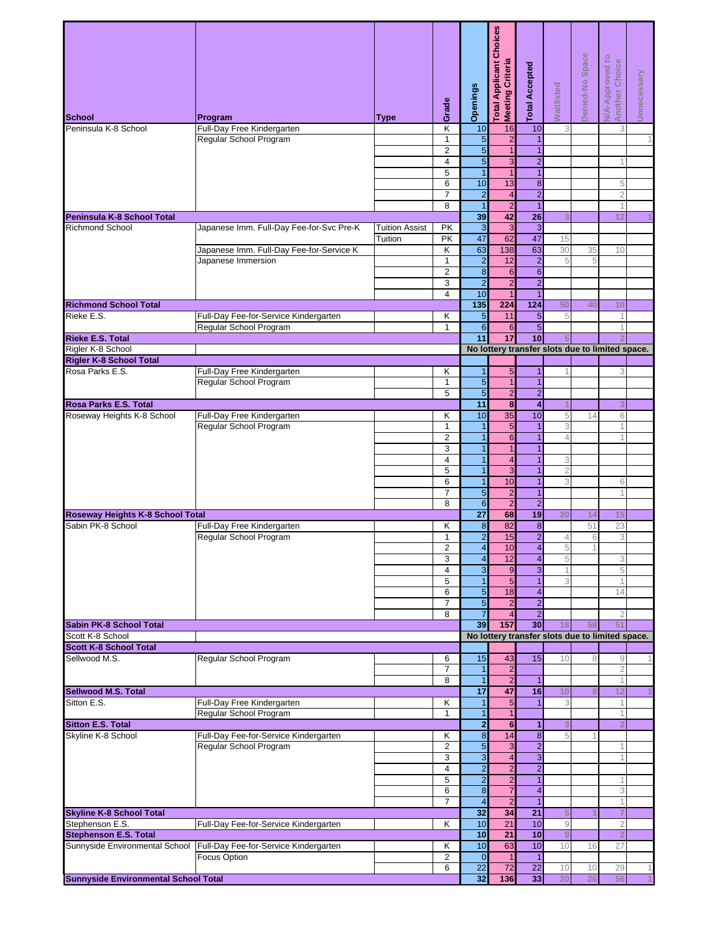| <b>School</b>                                     | Program                                              | Type                  | Grade               | Openings                         | <b>Total Applicant Choices</b><br>Meeting Criteria | <b>Total Accepted</b>            | <b>Naitlisted</b>   | Denied-No Space | <b>N/A-Approved to</b><br>Another Choice<br>Unnecessary |
|---------------------------------------------------|------------------------------------------------------|-----------------------|---------------------|----------------------------------|----------------------------------------------------|----------------------------------|---------------------|-----------------|---------------------------------------------------------|
| Peninsula K-8 School                              | Full-Day Free Kindergarten                           |                       | Κ                   | 10                               | 16                                                 | 10                               | 3                   |                 | 3                                                       |
|                                                   | Regular School Program                               |                       | $\mathbf{1}$        | 5                                | $\overline{\mathbf{c}}$                            | $\overline{1}$                   |                     |                 |                                                         |
|                                                   |                                                      |                       | $\overline{2}$      | $\overline{5}$                   | $\mathbf{1}$                                       | $\mathbf{1}$                     |                     |                 |                                                         |
|                                                   |                                                      |                       | 4                   | 5                                | $\overline{3}$                                     | $\overline{2}$                   |                     |                 |                                                         |
|                                                   |                                                      |                       | $\overline{5}$      | $\overline{1}$                   | $\mathbf{1}$                                       | $\overline{1}$                   |                     |                 |                                                         |
|                                                   |                                                      |                       | 6<br>$\overline{7}$ | 10<br>$\overline{\mathbf{c}}$    | 13<br>$\overline{4}$                               | $\overline{8}$<br>$\overline{2}$ |                     |                 | 5<br>$\overline{2}$                                     |
|                                                   |                                                      |                       | 8                   | $\overline{1}$                   | $\overline{2}$                                     | $\mathbf{1}$                     |                     |                 | 1                                                       |
| Peninsula K-8 School Total                        |                                                      |                       |                     | 39                               | 42                                                 | $\overline{26}$                  | 3                   |                 | 12                                                      |
| <b>Richmond School</b>                            | Japanese Imm. Full-Day Fee-for-Svc Pre-K             | <b>Tuition Assist</b> | PK                  | ω                                | 3                                                  | $\overline{3}$                   |                     |                 |                                                         |
|                                                   |                                                      | Tuition               | PK                  | 47                               | 62                                                 | 47                               | 15                  |                 |                                                         |
|                                                   | Japanese Imm. Full-Day Fee-for-Service K             |                       | Κ                   | 63                               | 138                                                | 63                               | 30                  | 35              | 10                                                      |
|                                                   | Japanese Immersion                                   |                       | $\mathbf{1}$        | $\overline{\mathbf{c}}$          | 12                                                 | $\overline{\mathbf{c}}$          | 5                   | 5               |                                                         |
|                                                   |                                                      |                       | $\overline{2}$<br>3 | $\infty$                         | $6\phantom{1}6$                                    | $\overline{6}$                   |                     |                 |                                                         |
|                                                   |                                                      |                       | 4                   | $\overline{2}$<br>10             | $\overline{c}$<br>1                                | $\overline{2}$<br>$\overline{1}$ |                     |                 |                                                         |
| <b>Richmond School Total</b>                      |                                                      |                       |                     | 135                              | 224                                                | 124                              | 50                  | 40              | 10                                                      |
| Rieke E.S.                                        | Full-Day Fee-for-Service Kindergarten                |                       | Κ                   | 5                                | 11                                                 | $\overline{5}$                   | 5                   |                 | 1                                                       |
|                                                   | Regular School Program                               |                       | $\mathbf{1}$        | $6\phantom{a}$                   | 6                                                  | $\overline{5}$                   |                     |                 | 1                                                       |
| <b>Rieke E.S. Total</b>                           |                                                      |                       |                     | 11                               | 17                                                 | 10                               | 5                   |                 |                                                         |
| Rigler K-8 School                                 |                                                      |                       |                     |                                  |                                                    |                                  |                     |                 | No lottery transfer slots due to limited space.         |
| <b>Rigler K-8 School Total</b><br>Rosa Parks E.S. |                                                      |                       | Κ                   | $\mathbf{1}$                     | 5                                                  | $\overline{1}$                   |                     |                 | 3                                                       |
|                                                   | Full-Day Free Kindergarten<br>Regular School Program |                       | $\mathbf{1}$        | $\overline{5}$                   | $\overline{1}$                                     | $\mathbf{1}$                     |                     |                 |                                                         |
|                                                   |                                                      |                       | 5                   | $\mathfrak{S}$                   | $\overline{c}$                                     | $\overline{2}$                   |                     |                 |                                                         |
| <b>Rosa Parks E.S. Total</b>                      |                                                      |                       |                     | $\overline{11}$                  | $\overline{\mathbf{8}}$                            | $\overline{4}$                   |                     |                 | 3                                                       |
| Roseway Heights K-8 School                        | Full-Day Free Kindergarten                           |                       | Κ                   | 10                               | $\overline{35}$                                    | 10                               | 5                   | 14              | 6                                                       |
|                                                   | Regular School Program                               |                       | $\mathbf{1}$        | $\mathbf{1}$                     | 5                                                  | $\mathbf{1}$                     | 3                   |                 | 1                                                       |
|                                                   |                                                      |                       | $\overline{2}$      | $\mathbf{1}$                     | $\,$ 6 $\,$                                        | $\mathbf{1}$                     | 4                   |                 |                                                         |
|                                                   |                                                      |                       | $\overline{3}$      | $\overline{1}$                   | $\mathbf{1}$                                       | $\overline{1}$                   |                     |                 |                                                         |
|                                                   |                                                      |                       | 4<br>5              | $\overline{1}$<br>$\overline{1}$ | 4<br>$\overline{3}$                                | $\overline{1}$<br>$\overline{1}$ | 3<br>$\overline{2}$ |                 |                                                         |
|                                                   |                                                      |                       | 6                   | $\overline{1}$                   | 10                                                 | $\mathbf{1}$                     | 3                   |                 | 6                                                       |
|                                                   |                                                      |                       | $\overline{7}$      | 5                                | $\overline{2}$                                     | $\mathbf{1}$                     |                     |                 |                                                         |
|                                                   |                                                      |                       | 8                   | $\sigma$                         | $\overline{2}$                                     | $\overline{2}$                   |                     |                 |                                                         |
| Roseway Heights K-8 School Total                  |                                                      |                       |                     | $\overline{27}$                  | 68                                                 | 19                               | 20                  | 14              | 15                                                      |
| Sabin PK-8 School                                 | Full-Day Free Kindergarten                           |                       | Κ                   | $\bf8$                           | 82                                                 | $\boldsymbol{8}$                 |                     | 51              | 23                                                      |
|                                                   | Regular School Program                               |                       | $\mathbf{1}$        | $\overline{2}$                   | 15                                                 | $\overline{2}$                   | 4                   | 6               | 3                                                       |
|                                                   |                                                      |                       | 2<br>3              | 4                                | 10                                                 | 4<br>$\overline{4}$              | 5<br>5              |                 |                                                         |
|                                                   |                                                      |                       | 4                   | 4<br>$\mathbf{3}$                | 12<br>$9$                                          | $\overline{3}$                   |                     |                 | 3<br>5                                                  |
|                                                   |                                                      |                       | 5                   | $\mathbf{1}$                     | 5                                                  | $\mathbf{1}$                     | 3                   |                 |                                                         |
|                                                   |                                                      |                       | 6                   | $\overline{5}$                   | 18                                                 | $\overline{\mathbf{4}}$          |                     |                 | 14                                                      |
|                                                   |                                                      |                       | $\overline{7}$      | $\overline{5}$                   | $\overline{2}$                                     | $\overline{2}$                   |                     |                 |                                                         |
|                                                   |                                                      |                       | 8                   | $\overline{7}$                   | 4                                                  | $\overline{2}$                   |                     |                 | $\overline{2}$                                          |
| Sabin PK-8 School Total<br>Scott K-8 School       |                                                      |                       |                     | 39                               | 157                                                | 30                               | 18                  | 58              | 51<br>No lottery transfer slots due to limited space.   |
| <b>Scott K-8 School Total</b>                     |                                                      |                       |                     |                                  |                                                    |                                  |                     |                 |                                                         |
| Sellwood M.S.                                     | Regular School Program                               |                       | 6                   | 15                               | 43                                                 | 15                               | 10                  | 8               | $\hbox{9}$                                              |
|                                                   |                                                      |                       | $\overline{7}$      | 1                                | $\overline{c}$                                     |                                  |                     |                 | $\overline{c}$                                          |
|                                                   |                                                      |                       | 8                   | $\overline{1}$                   | $\overline{2}$                                     | $\overline{1}$                   |                     |                 | 1                                                       |
| <b>Sellwood M.S. Total</b>                        |                                                      |                       |                     | $\overline{17}$                  | 47                                                 | 16                               | 10                  |                 | 12                                                      |
| Sitton E.S.                                       | Full-Day Free Kindergarten                           |                       | Κ                   | 1                                | 5                                                  | $\overline{1}$                   | 3                   |                 | 1                                                       |
| <b>Sitton E.S. Total</b>                          | Regular School Program                               |                       | $\mathbf{1}$        | $\mathbf{1}$<br>2                | $\mathbf{1}$<br>$6\overline{6}$                    | 1                                | 3                   |                 | 1<br>$\overline{2}$                                     |
| Skyline K-8 School                                | Full-Day Fee-for-Service Kindergarten                |                       | Κ                   | $\infty$                         | 14                                                 | $\bf 8$                          | 5                   |                 |                                                         |
|                                                   | Regular School Program                               |                       | $\overline{2}$      | 5                                | 3                                                  | $\overline{2}$                   |                     |                 | 1                                                       |
|                                                   |                                                      |                       | 3                   | 3                                | $\overline{\mathbf{4}}$                            | $\overline{3}$                   |                     |                 |                                                         |
|                                                   |                                                      |                       | $\overline{4}$      | $\overline{2}$                   | $\overline{2}$                                     | $\overline{2}$                   |                     |                 |                                                         |
|                                                   |                                                      |                       | 5                   | $\overline{c}$                   | $\overline{c}$                                     | $\overline{1}$                   |                     |                 | 1                                                       |
|                                                   |                                                      |                       | 6<br>$\overline{7}$ | 8<br>$\overline{\mathbf{4}}$     | $\overline{7}$<br>$\overline{2}$                   | $\overline{4}$<br>$\overline{1}$ |                     |                 | 3<br>1                                                  |
| <b>Skyline K-8 School Total</b>                   |                                                      |                       |                     | 32                               | 34                                                 | 21                               | 5                   |                 | 7                                                       |
| Stephenson E.S.                                   | Full-Day Fee-for-Service Kindergarten                |                       | Κ                   | 10                               | 21                                                 | 10                               | $\mathcal{G}$       |                 | $\overline{2}$                                          |
| <b>Stephenson E.S. Total</b>                      |                                                      |                       |                     | 10                               | 21                                                 | 10                               | 9                   |                 | $\overline{2}$                                          |
| Sunnyside Environmental School                    | Full-Day Fee-for-Service Kindergarten                |                       | κ                   | 10                               | 63                                                 | 10                               | 10                  | 16              | 27                                                      |
|                                                   | Focus Option                                         |                       | $\overline{2}$      | $\overline{O}$                   | $\mathbf{1}$                                       | $\overline{1}$                   |                     |                 |                                                         |
|                                                   |                                                      |                       | 6                   | 22                               | 72                                                 | 22                               | 10                  | 10              | 29                                                      |
| <b>Sunnyside Environmental School Total</b>       |                                                      |                       |                     | 32                               | 136                                                | 33                               | 20                  | 26              | 56                                                      |